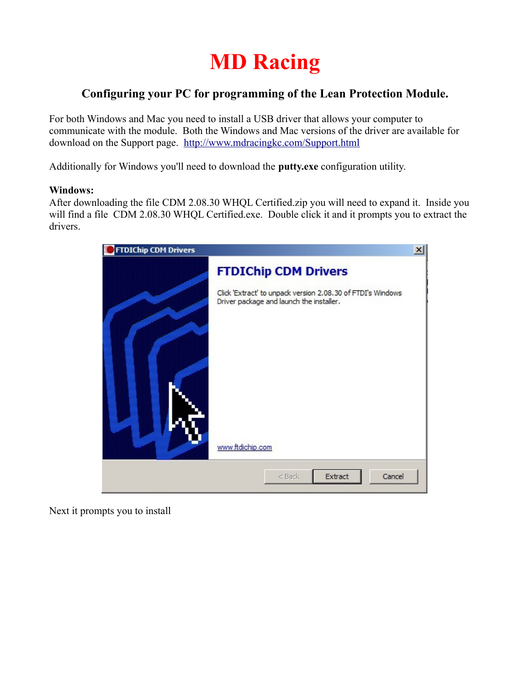

## **Configuring your PC for programming of the Lean Protection Module.**

For both Windows and Mac you need to install a USB driver that allows your computer to communicate with the module. Both the Windows and Mac versions of the driver are available for download on the Support page. <http://www.mdracingkc.com/Support.html>

Additionally for Windows you'll need to download the **putty.exe** configuration utility.

## **Windows:**

After downloading the file CDM 2.08.30 WHQL Certified.zip you will need to expand it. Inside you will find a file CDM 2.08.30 WHQL Certified.exe. Double click it and it prompts you to extract the drivers.



Next it prompts you to install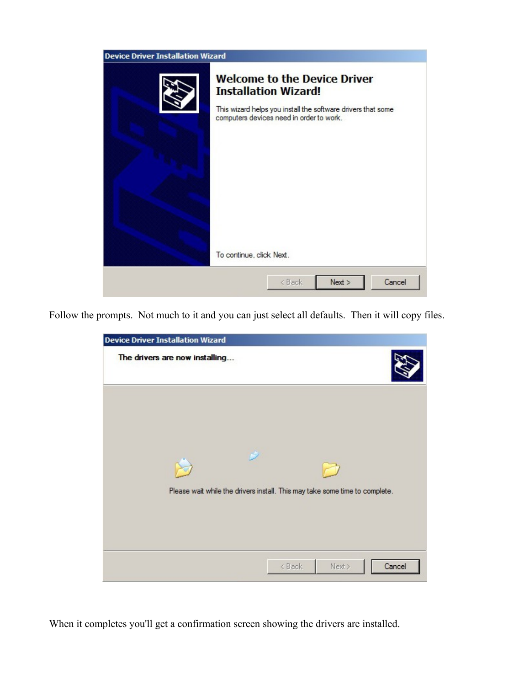| <b>Device Driver Installation Wizard</b> |                                                                                                                                                                                                            |
|------------------------------------------|------------------------------------------------------------------------------------------------------------------------------------------------------------------------------------------------------------|
|                                          | <b>Welcome to the Device Driver</b><br><b>Installation Wizard!</b><br>This wizard helps you install the software drivers that some<br>computers devices need in order to work.<br>To continue, click Next. |
|                                          | Cancel<br>Next<br>< Back                                                                                                                                                                                   |
|                                          |                                                                                                                                                                                                            |

Follow the prompts. Not much to it and you can just select all defaults. Then it will copy files.

| <b>Device Driver Installation Wizard</b> |                                                                             |
|------------------------------------------|-----------------------------------------------------------------------------|
| The drivers are now installing           |                                                                             |
|                                          |                                                                             |
| r)                                       | Please wait while the drivers install. This may take some time to complete. |
|                                          |                                                                             |
|                                          | Cancel<br>Next ><br>< Back                                                  |

When it completes you'll get a confirmation screen showing the drivers are installed.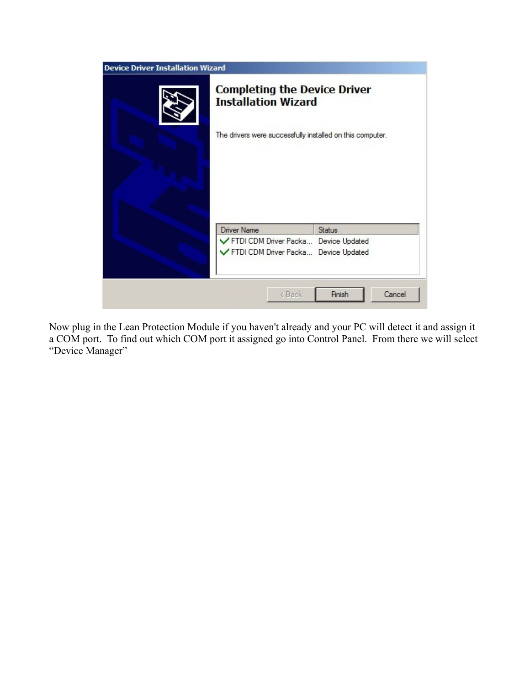| <b>Device Driver Installation Wizard</b> |                                                                   |                  |
|------------------------------------------|-------------------------------------------------------------------|------------------|
|                                          | <b>Completing the Device Driver</b><br><b>Installation Wizard</b> |                  |
|                                          | The drivers were successfully installed on this computer.         |                  |
|                                          |                                                                   |                  |
|                                          | Driver Name                                                       | <b>Status</b>    |
|                                          | FTDI CDM Driver Packa Device Updated                              |                  |
|                                          | FTDI CDM Driver Packa Device Updated                              |                  |
|                                          | < Back                                                            | Finish<br>Cancel |

Now plug in the Lean Protection Module if you haven't already and your PC will detect it and assign it a COM port. To find out which COM port it assigned go into Control Panel. From there we will select "Device Manager"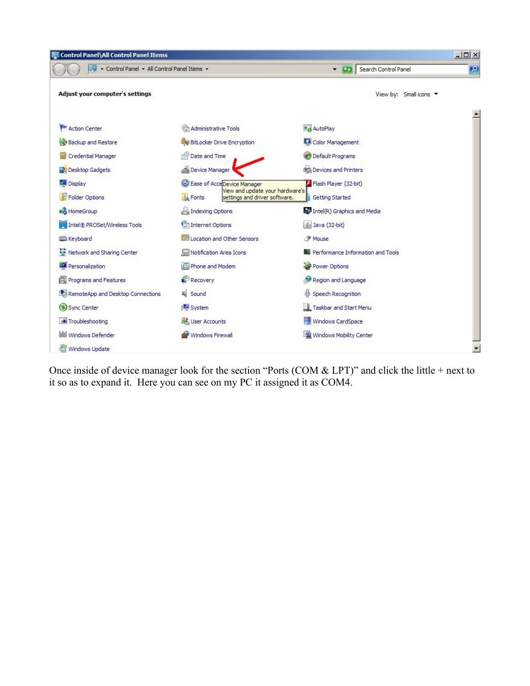

Once inside of device manager look for the section "Ports (COM  $&$  LPT)" and click the little + next to it so as to expand it. Here you can see on my PC it assigned it as COM4.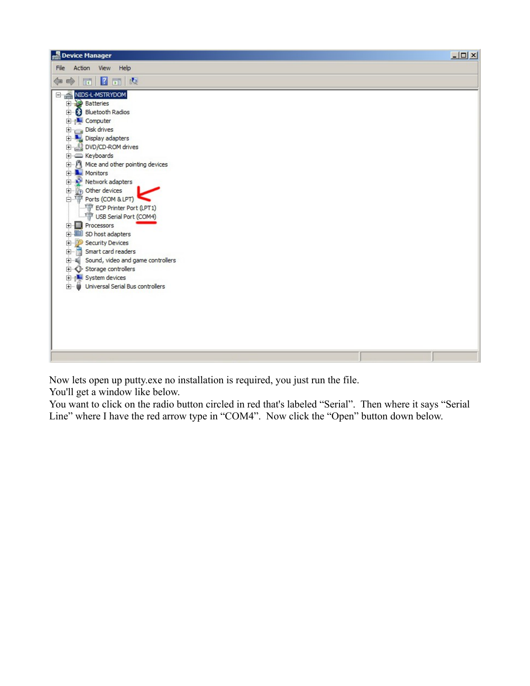| Device Manager                                                                                                                                                                                                                                                                                                                                                                                                                                                                                                                                                                                              | $-12X$ |
|-------------------------------------------------------------------------------------------------------------------------------------------------------------------------------------------------------------------------------------------------------------------------------------------------------------------------------------------------------------------------------------------------------------------------------------------------------------------------------------------------------------------------------------------------------------------------------------------------------------|--------|
| Action<br>File<br>View Help                                                                                                                                                                                                                                                                                                                                                                                                                                                                                                                                                                                 |        |
| 7面 内<br>$\Rightarrow$<br>同<br>⇔                                                                                                                                                                                                                                                                                                                                                                                                                                                                                                                                                                             |        |
| NIDS-L-MSTRYDOM<br>E-<br><b>ED</b> Batteries<br><b>Bluetooth Radios</b><br><b>E</b> Computer<br>Disk drives<br>Display adapters<br>DVD/CD-ROM drives<br>E-C Keyboards<br>in B Mice and other pointing devices<br><b>H</b> Monitors<br><b>H</b> <sup></sup> Network adapters<br>中 2 Other devices<br>Find Ports (COM & LPT)<br>ECP Printer Port (LPT1)<br>USB Serial Port (COM4)<br><b>Processors</b><br>Ė<br><b>ED</b> SD host adapters<br>Security Devices<br>Smart card readers<br>Sound, video and game controllers<br>E Storage controllers<br>E-1 System devices<br>+ Universal Serial Bus controllers |        |
|                                                                                                                                                                                                                                                                                                                                                                                                                                                                                                                                                                                                             |        |

Now lets open up putty.exe no installation is required, you just run the file.

You'll get a window like below.

You want to click on the radio button circled in red that's labeled "Serial". Then where it says "Serial Line" where I have the red arrow type in "COM4". Now click the "Open" button down below.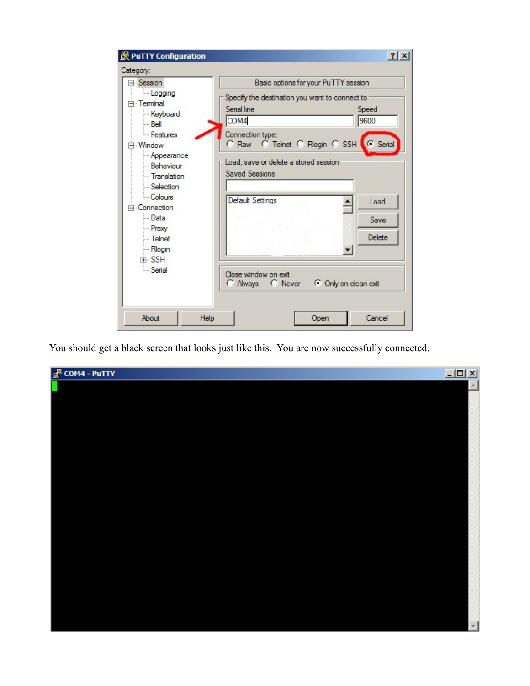| ⊟- Session                                                                                                                                                                      | Basic options for your PuTTY session                                                                                                                                              |  |
|---------------------------------------------------------------------------------------------------------------------------------------------------------------------------------|-----------------------------------------------------------------------------------------------------------------------------------------------------------------------------------|--|
| Logging<br>F <sub>r</sub> Terminal<br>Keyboard<br>l— Bell                                                                                                                       | Specify the destination you want to connect to<br>Serial line<br>Speed<br>COM4<br>9600                                                                                            |  |
| - Features<br>- Window<br>Appearance<br>Behaviour<br>- Translation<br>Selection<br>Colours<br>Connection<br>- Data<br>- Proxy<br>- Telnet<br>- Rlogin<br>F SSH<br><b>Serial</b> | Connection type:<br>C Raw C Telnet C Rlogin C SSH C Serial<br>Load, save or delete a stored session<br><b>Saved Sessions</b><br>Default Settings<br>Load<br><b>Save</b><br>Delete |  |
|                                                                                                                                                                                 | Close window on exit:<br>C Always C Never                                                                                                                                         |  |

You should get a black screen that looks just like this. You are now successfully connected.